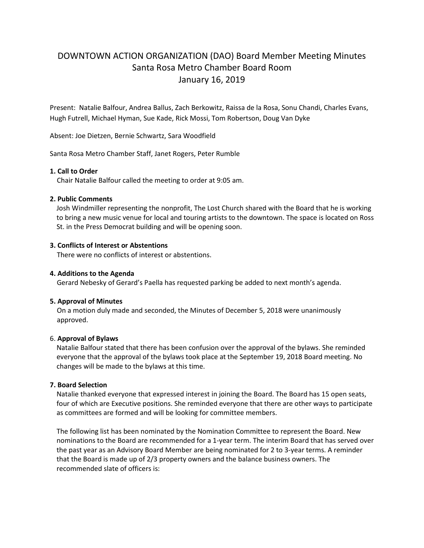# DOWNTOWN ACTION ORGANIZATION (DAO) Board Member Meeting Minutes Santa Rosa Metro Chamber Board Room January 16, 2019

Present: Natalie Balfour, Andrea Ballus, Zach Berkowitz, Raissa de la Rosa, Sonu Chandi, Charles Evans, Hugh Futrell, Michael Hyman, Sue Kade, Rick Mossi, Tom Robertson, Doug Van Dyke

Absent: Joe Dietzen, Bernie Schwartz, Sara Woodfield

Santa Rosa Metro Chamber Staff, Janet Rogers, Peter Rumble

# **1. Call to Order**

Chair Natalie Balfour called the meeting to order at 9:05 am.

# **2. Public Comments**

Josh Windmiller representing the nonprofit, The Lost Church shared with the Board that he is working to bring a new music venue for local and touring artists to the downtown. The space is located on Ross St. in the Press Democrat building and will be opening soon.

# **3. Conflicts of Interest or Abstentions**

There were no conflicts of interest or abstentions.

# **4. Additions to the Agenda**

Gerard Nebesky of Gerard's Paella has requested parking be added to next month's agenda.

### **5. Approval of Minutes**

 On a motion duly made and seconded, the Minutes of December 5, 2018 were unanimously approved.

### 6. **Approval of Bylaws**

Natalie Balfour stated that there has been confusion over the approval of the bylaws. She reminded everyone that the approval of the bylaws took place at the September 19, 2018 Board meeting. No changes will be made to the bylaws at this time.

# **7. Board Selection**

Natalie thanked everyone that expressed interest in joining the Board. The Board has 15 open seats, four of which are Executive positions. She reminded everyone that there are other ways to participate as committees are formed and will be looking for committee members.

The following list has been nominated by the Nomination Committee to represent the Board. New nominations to the Board are recommended for a 1-year term. The interim Board that has served over the past year as an Advisory Board Member are being nominated for 2 to 3-year terms. A reminder that the Board is made up of 2/3 property owners and the balance business owners. The recommended slate of officers is: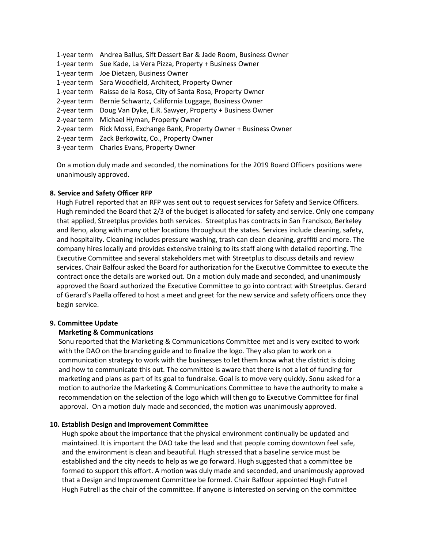| 1-year term Andrea Ballus, Sift Dessert Bar & Jade Room, Business Owner |
|-------------------------------------------------------------------------|
| 1-year term Sue Kade, La Vera Pizza, Property + Business Owner          |
| 1-year term Joe Dietzen, Business Owner                                 |
| 1-year term Sara Woodfield, Architect, Property Owner                   |
| 1-year term Raissa de la Rosa, City of Santa Rosa, Property Owner       |
| 2-year term Bernie Schwartz, California Luggage, Business Owner         |
| 2-year term Doug Van Dyke, E.R. Sawyer, Property + Business Owner       |
| 2-year term Michael Hyman, Property Owner                               |
| 2-year term Rick Mossi, Exchange Bank, Property Owner + Business Owner  |
| 2-year term Zack Berkowitz, Co., Property Owner                         |
| 3-year term Charles Evans, Property Owner                               |

On a motion duly made and seconded, the nominations for the 2019 Board Officers positions were unanimously approved.

# **8. Service and Safety Officer RFP**

 Hugh Futrell reported that an RFP was sent out to request services for Safety and Service Officers. Hugh reminded the Board that 2/3 of the budget is allocated for safety and service. Only one company that applied, Streetplus provides both services. Streetplus has contracts in San Francisco, Berkeley and Reno, along with many other locations throughout the states. Services include cleaning, safety, and hospitality. Cleaning includes pressure washing, trash can clean cleaning, graffiti and more. The company hires locally and provides extensive training to its staff along with detailed reporting. The Executive Committee and several stakeholders met with Streetplus to discuss details and review services. Chair Balfour asked the Board for authorization for the Executive Committee to execute the contract once the details are worked out. On a motion duly made and seconded, and unanimously approved the Board authorized the Executive Committee to go into contract with Streetplus. Gerard of Gerard's Paella offered to host a meet and greet for the new service and safety officers once they begin service.

### **9. Committee Update**

### **Marketing & Communications**

 Sonu reported that the Marketing & Communications Committee met and is very excited to work with the DAO on the branding guide and to finalize the logo. They also plan to work on a communication strategy to work with the businesses to let them know what the district is doing and how to communicate this out. The committee is aware that there is not a lot of funding for marketing and plans as part of its goal to fundraise. Goal is to move very quickly. Sonu asked for a motion to authorize the Marketing & Communications Committee to have the authority to make a recommendation on the selection of the logo which will then go to Executive Committee for final approval. On a motion duly made and seconded, the motion was unanimously approved.

### **10. Establish Design and Improvement Committee**

 Hugh spoke about the importance that the physical environment continually be updated and maintained. It is important the DAO take the lead and that people coming downtown feel safe, and the environment is clean and beautiful. Hugh stressed that a baseline service must be established and the city needs to help as we go forward. Hugh suggested that a committee be formed to support this effort. A motion was duly made and seconded, and unanimously approved that a Design and Improvement Committee be formed. Chair Balfour appointed Hugh Futrell Hugh Futrell as the chair of the committee. If anyone is interested on serving on the committee